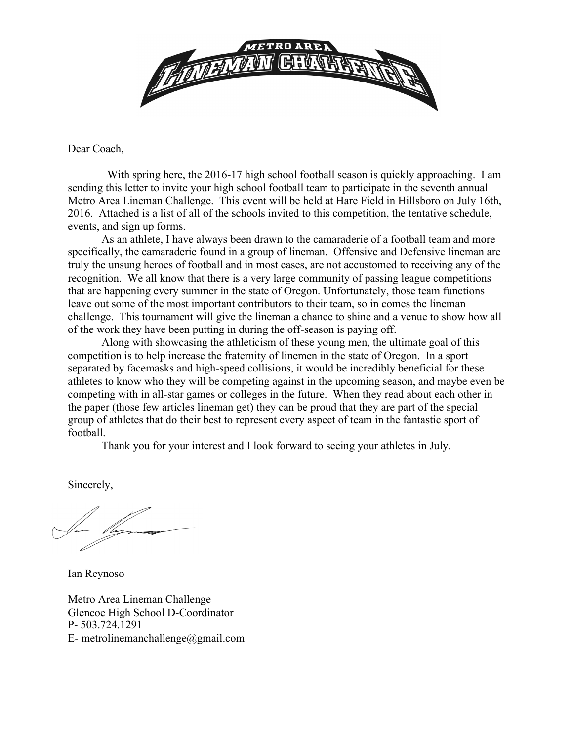

Dear Coach,

 With spring here, the 2016-17 high school football season is quickly approaching. I am sending this letter to invite your high school football team to participate in the seventh annual Metro Area Lineman Challenge. This event will be held at Hare Field in Hillsboro on July 16th, 2016. Attached is a list of all of the schools invited to this competition, the tentative schedule, events, and sign up forms.

As an athlete, I have always been drawn to the camaraderie of a football team and more specifically, the camaraderie found in a group of lineman. Offensive and Defensive lineman are truly the unsung heroes of football and in most cases, are not accustomed to receiving any of the recognition. We all know that there is a very large community of passing league competitions that are happening every summer in the state of Oregon. Unfortunately, those team functions leave out some of the most important contributors to their team, so in comes the lineman challenge. This tournament will give the lineman a chance to shine and a venue to show how all of the work they have been putting in during the off-season is paying off.

Along with showcasing the athleticism of these young men, the ultimate goal of this competition is to help increase the fraternity of linemen in the state of Oregon. In a sport separated by facemasks and high-speed collisions, it would be incredibly beneficial for these athletes to know who they will be competing against in the upcoming season, and maybe even be competing with in all-star games or colleges in the future. When they read about each other in the paper (those few articles lineman get) they can be proud that they are part of the special group of athletes that do their best to represent every aspect of team in the fantastic sport of football.

Thank you for your interest and I look forward to seeing your athletes in July.

Sincerely,

Ian Reynoso

Metro Area Lineman Challenge Glencoe High School D-Coordinator P- 503.724.1291 E- metrolinemanchallenge@gmail.com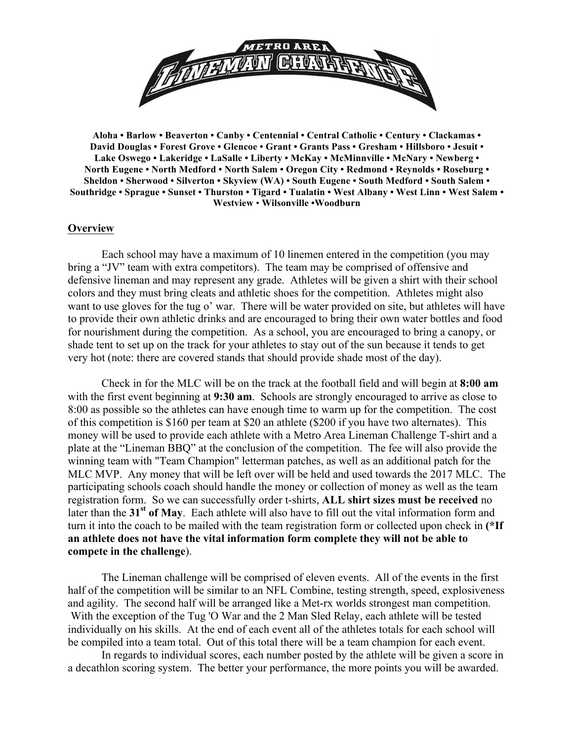

**Aloha • Barlow • Beaverton • Canby • Centennial • Central Catholic • Century • Clackamas • David Douglas • Forest Grove • Glencoe • Grant • Grants Pass • Gresham • Hillsboro • Jesuit • Lake Oswego • Lakeridge • LaSalle • Liberty • McKay • McMinnville • McNary • Newberg • North Eugene • North Medford • North Salem • Oregon City • Redmond • Reynolds • Roseburg • Sheldon • Sherwood • Silverton • Skyview (WA) • South Eugene • South Medford • South Salem • Southridge • Sprague • Sunset • Thurston • Tigard • Tualatin • West Albany • West Linn • West Salem • Westview** • **Wilsonville •Woodburn**

## **Overview**

Each school may have a maximum of 10 linemen entered in the competition (you may bring a "JV" team with extra competitors). The team may be comprised of offensive and defensive lineman and may represent any grade. Athletes will be given a shirt with their school colors and they must bring cleats and athletic shoes for the competition. Athletes might also want to use gloves for the tug o' war. There will be water provided on site, but athletes will have to provide their own athletic drinks and are encouraged to bring their own water bottles and food for nourishment during the competition. As a school, you are encouraged to bring a canopy, or shade tent to set up on the track for your athletes to stay out of the sun because it tends to get very hot (note: there are covered stands that should provide shade most of the day).

Check in for the MLC will be on the track at the football field and will begin at **8:00 am** with the first event beginning at **9:30 am**. Schools are strongly encouraged to arrive as close to 8:00 as possible so the athletes can have enough time to warm up for the competition. The cost of this competition is \$160 per team at \$20 an athlete (\$200 if you have two alternates). This money will be used to provide each athlete with a Metro Area Lineman Challenge T-shirt and a plate at the "Lineman BBQ" at the conclusion of the competition. The fee will also provide the winning team with "Team Champion" letterman patches, as well as an additional patch for the MLC MVP. Any money that will be left over will be held and used towards the 2017 MLC. The participating schools coach should handle the money or collection of money as well as the team registration form. So we can successfully order t-shirts, **ALL shirt sizes must be received** no later than the **31st of May**. Each athlete will also have to fill out the vital information form and turn it into the coach to be mailed with the team registration form or collected upon check in **(\*If an athlete does not have the vital information form complete they will not be able to compete in the challenge**).

The Lineman challenge will be comprised of eleven events. All of the events in the first half of the competition will be similar to an NFL Combine, testing strength, speed, explosiveness and agility. The second half will be arranged like a Met-rx worlds strongest man competition. With the exception of the Tug 'O War and the 2 Man Sled Relay, each athlete will be tested individually on his skills. At the end of each event all of the athletes totals for each school will be compiled into a team total. Out of this total there will be a team champion for each event.

In regards to individual scores, each number posted by the athlete will be given a score in a decathlon scoring system. The better your performance, the more points you will be awarded.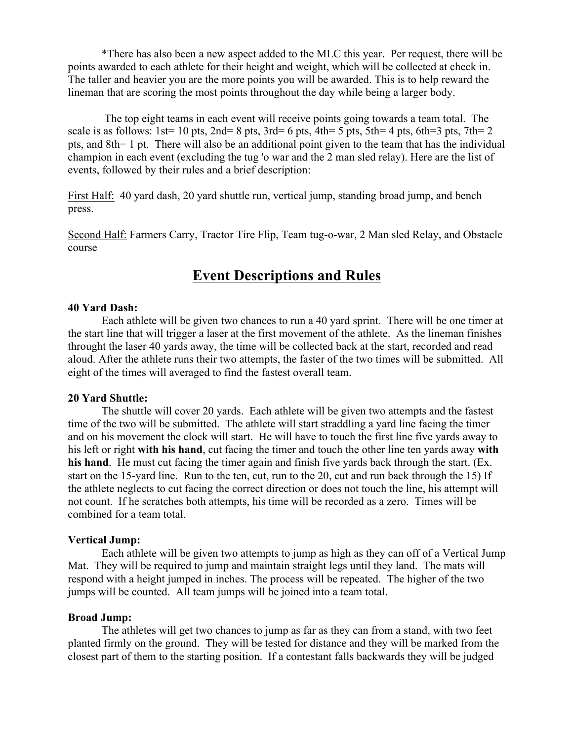\*There has also been a new aspect added to the MLC this year. Per request, there will be points awarded to each athlete for their height and weight, which will be collected at check in. The taller and heavier you are the more points you will be awarded. This is to help reward the lineman that are scoring the most points throughout the day while being a larger body.

The top eight teams in each event will receive points going towards a team total. The scale is as follows:  $1st= 10$  pts,  $2nd= 8$  pts,  $3rd= 6$  pts,  $4th= 5$  pts,  $5th= 4$  pts,  $6th=3$  pts,  $7th= 2$ pts, and 8th= 1 pt. There will also be an additional point given to the team that has the individual champion in each event (excluding the tug 'o war and the 2 man sled relay). Here are the list of events, followed by their rules and a brief description:

First Half: 40 yard dash, 20 yard shuttle run, vertical jump, standing broad jump, and bench press.

Second Half: Farmers Carry, Tractor Tire Flip, Team tug-o-war, 2 Man sled Relay, and Obstacle course

## **Event Descriptions and Rules**

## **40 Yard Dash:**

Each athlete will be given two chances to run a 40 yard sprint. There will be one timer at the start line that will trigger a laser at the first movement of the athlete. As the lineman finishes throught the laser 40 yards away, the time will be collected back at the start, recorded and read aloud. After the athlete runs their two attempts, the faster of the two times will be submitted. All eight of the times will averaged to find the fastest overall team.

## **20 Yard Shuttle:**

The shuttle will cover 20 yards. Each athlete will be given two attempts and the fastest time of the two will be submitted. The athlete will start straddling a yard line facing the timer and on his movement the clock will start. He will have to touch the first line five yards away to his left or right **with his hand**, cut facing the timer and touch the other line ten yards away **with his hand**. He must cut facing the timer again and finish five yards back through the start. (Ex. start on the 15-yard line. Run to the ten, cut, run to the 20, cut and run back through the 15) If the athlete neglects to cut facing the correct direction or does not touch the line, his attempt will not count. If he scratches both attempts, his time will be recorded as a zero. Times will be combined for a team total.

## **Vertical Jump:**

Each athlete will be given two attempts to jump as high as they can off of a Vertical Jump Mat. They will be required to jump and maintain straight legs until they land. The mats will respond with a height jumped in inches. The process will be repeated. The higher of the two jumps will be counted. All team jumps will be joined into a team total.

## **Broad Jump:**

The athletes will get two chances to jump as far as they can from a stand, with two feet planted firmly on the ground. They will be tested for distance and they will be marked from the closest part of them to the starting position. If a contestant falls backwards they will be judged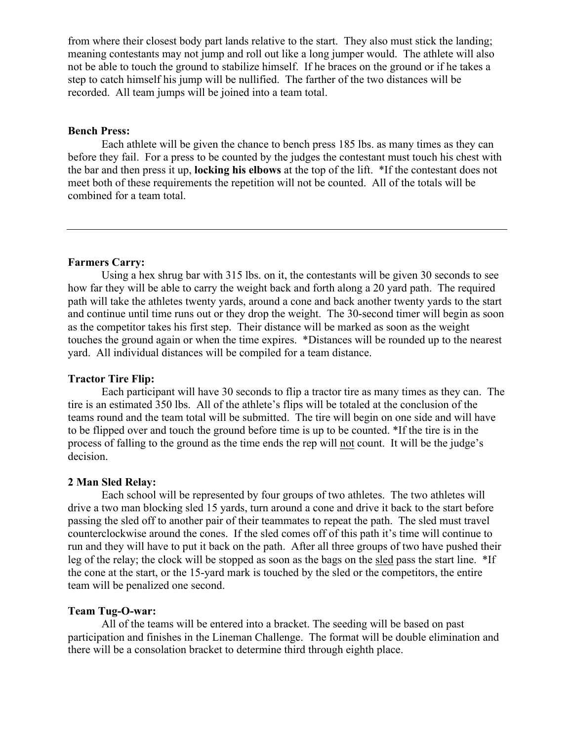from where their closest body part lands relative to the start. They also must stick the landing; meaning contestants may not jump and roll out like a long jumper would. The athlete will also not be able to touch the ground to stabilize himself. If he braces on the ground or if he takes a step to catch himself his jump will be nullified. The farther of the two distances will be recorded. All team jumps will be joined into a team total.

## **Bench Press:**

Each athlete will be given the chance to bench press 185 lbs. as many times as they can before they fail. For a press to be counted by the judges the contestant must touch his chest with the bar and then press it up, **locking his elbows** at the top of the lift. \*If the contestant does not meet both of these requirements the repetition will not be counted. All of the totals will be combined for a team total.

## **Farmers Carry:**

Using a hex shrug bar with 315 lbs. on it, the contestants will be given 30 seconds to see how far they will be able to carry the weight back and forth along a 20 yard path. The required path will take the athletes twenty yards, around a cone and back another twenty yards to the start and continue until time runs out or they drop the weight. The 30-second timer will begin as soon as the competitor takes his first step. Their distance will be marked as soon as the weight touches the ground again or when the time expires. \*Distances will be rounded up to the nearest yard. All individual distances will be compiled for a team distance.

#### **Tractor Tire Flip:**

Each participant will have 30 seconds to flip a tractor tire as many times as they can. The tire is an estimated 350 lbs. All of the athlete's flips will be totaled at the conclusion of the teams round and the team total will be submitted. The tire will begin on one side and will have to be flipped over and touch the ground before time is up to be counted. \*If the tire is in the process of falling to the ground as the time ends the rep will not count. It will be the judge's decision.

#### **2 Man Sled Relay:**

Each school will be represented by four groups of two athletes. The two athletes will drive a two man blocking sled 15 yards, turn around a cone and drive it back to the start before passing the sled off to another pair of their teammates to repeat the path. The sled must travel counterclockwise around the cones. If the sled comes off of this path it's time will continue to run and they will have to put it back on the path. After all three groups of two have pushed their leg of the relay; the clock will be stopped as soon as the bags on the sled pass the start line. \*If the cone at the start, or the 15-yard mark is touched by the sled or the competitors, the entire team will be penalized one second.

#### **Team Tug-O-war:**

All of the teams will be entered into a bracket. The seeding will be based on past participation and finishes in the Lineman Challenge. The format will be double elimination and there will be a consolation bracket to determine third through eighth place.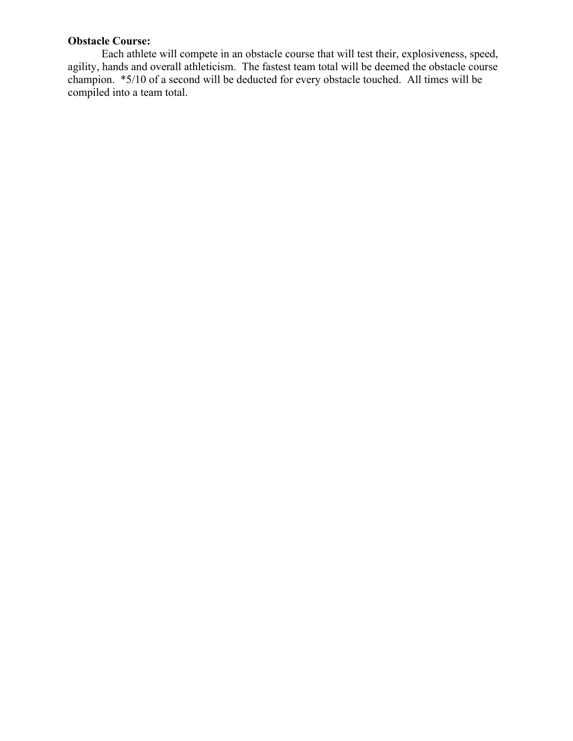## **Obstacle Course:**

Each athlete will compete in an obstacle course that will test their, explosiveness, speed, agility, hands and overall athleticism. The fastest team total will be deemed the obstacle course champion. \*5/10 of a second will be deducted for every obstacle touched. All times will be compiled into a team total.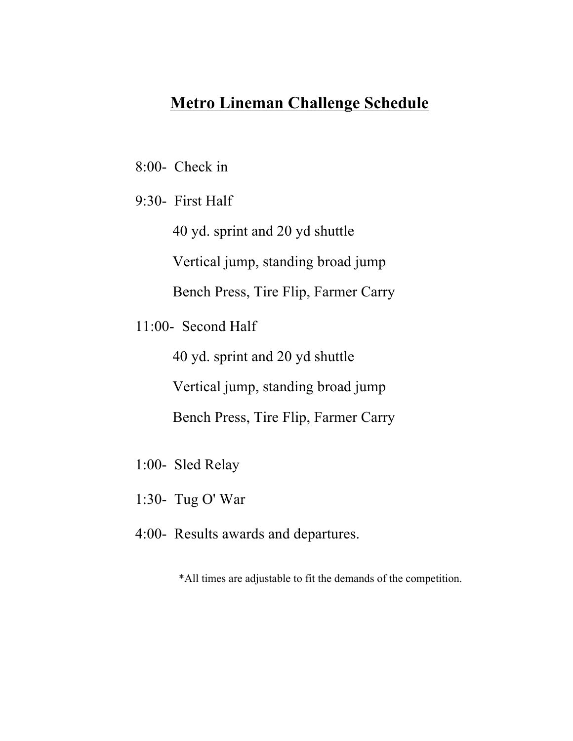# **Metro Lineman Challenge Schedule**

- 8:00- Check in
- 9:30- First Half

40 yd. sprint and 20 yd shuttle

Vertical jump, standing broad jump

Bench Press, Tire Flip, Farmer Carry

11:00- Second Half

40 yd. sprint and 20 yd shuttle

Vertical jump, standing broad jump

Bench Press, Tire Flip, Farmer Carry

- 1:00- Sled Relay
- 1:30- Tug O' War
- 4:00- Results awards and departures.

\*All times are adjustable to fit the demands of the competition.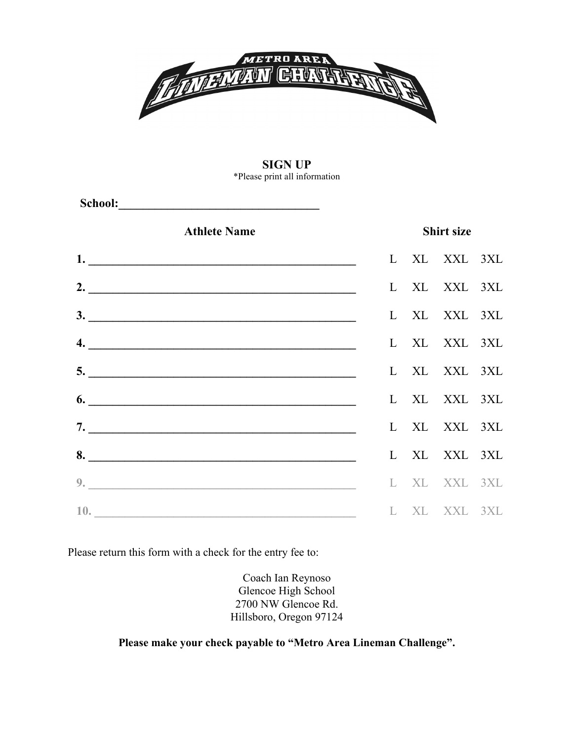

#### **SIGN UP** \*Please print all information

| <b>Athlete Name</b>         | <b>Shirt size</b> |  |              |  |
|-----------------------------|-------------------|--|--------------|--|
|                             |                   |  | L XL XXL 3XL |  |
| 2. $\overline{\phantom{a}}$ |                   |  | L XL XXL 3XL |  |
|                             |                   |  | L XL XXL 3XL |  |
|                             |                   |  | L XL XXL 3XL |  |
|                             |                   |  | L XL XXL 3XL |  |
| $\overline{6.}$             |                   |  | L XL XXL 3XL |  |
|                             |                   |  | L XL XXL 3XL |  |
|                             |                   |  | L XL XXL 3XL |  |
| 9.                          |                   |  | L XL XXL 3XL |  |
| 10.                         |                   |  | L XL XXL 3XL |  |

Please return this form with a check for the entry fee to:

Coach Ian Reynoso Glencoe High School 2700 NW Glencoe Rd. Hillsboro, Oregon 97124

**Please make your check payable to "Metro Area Lineman Challenge".**